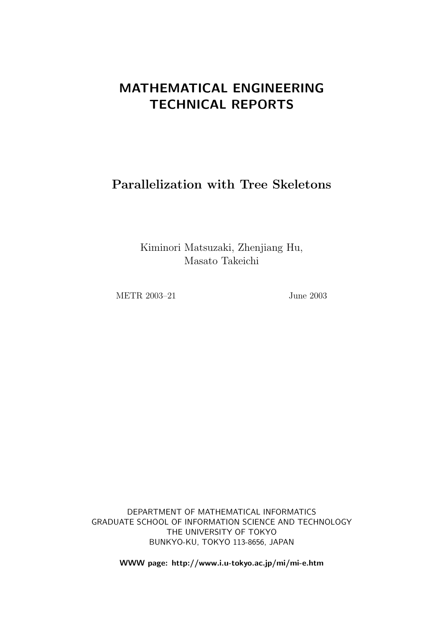# MATHEMATICAL ENGINEERING TECHNICAL REPORTS

Parallelization with Tree Skeletons

Kiminori Matsuzaki, Zhenjiang Hu, Masato Takeichi

METR 2003–21 June 2003

DEPARTMENT OF MATHEMATICAL INFORMATICS GRADUATE SCHOOL OF INFORMATION SCIENCE AND TECHNOLOGY THE UNIVERSITY OF TOKYO BUNKYO-KU, TOKYO 113-8656, JAPAN

WWW page: http://www.i.u-tokyo.ac.jp/mi/mi-e.htm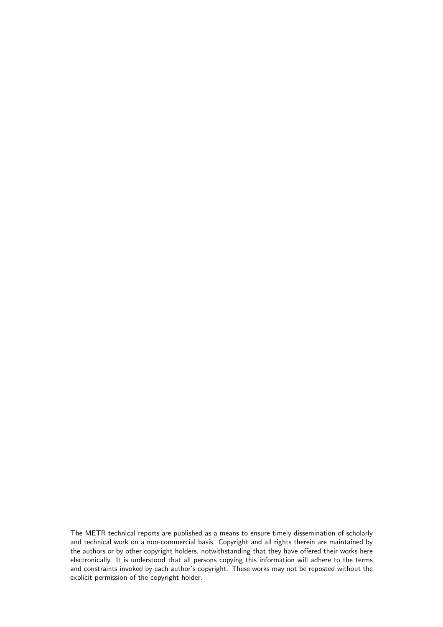The METR technical reports are published as a means to ensure timely dissemination of scholarly and technical work on a non-commercial basis. Copyright and all rights therein are maintained by the authors or by other copyright holders, notwithstanding that they have offered their works here electronically. It is understood that all persons copying this information will adhere to the terms and constraints invoked by each author's copyright. These works may not be reposted without the explicit permission of the copyright holder.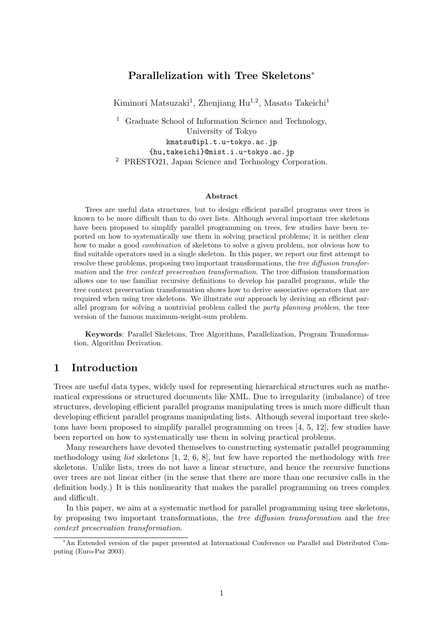# Parallelization with Tree Skeletons<sup>∗</sup>

Kiminori Matsuzaki<sup>1</sup>, Zhenjiang Hu<sup>1,2</sup>, Masato Takeichi<sup>1</sup>

<sup>1</sup> Graduate School of Information Science and Technology, University of Tokyo kmatsu@ipl.t.u-tokyo.ac.jp {hu,takeichi}@mist.i.u-tokyo.ac.jp <sup>2</sup> PRESTO21, Japan Science and Technology Corporation.

#### Abstract

Trees are useful data structures, but to design efficient parallel programs over trees is known to be more difficult than to do over lists. Although several important tree skeletons have been proposed to simplify parallel programming on trees, few studies have been reported on how to systematically use them in solving practical problems; it is neither clear how to make a good combination of skeletons to solve a given problem, nor obvious how to find suitable operators used in a single skeleton. In this paper, we report our first attempt to resolve these problems, proposing two important transformations, the tree diffusion transformation and the tree context preservation transformation. The tree diffusion transformation allows one to use familiar recursive definitions to develop his parallel programs, while the tree context preservation transformation shows how to derive associative operators that are required when using tree skeletons. We illustrate our approach by deriving an efficient parallel program for solving a nontrivial problem called the party planning problem, the tree version of the famous maximum-weight-sum problem.

Keywords: Parallel Skeletons, Tree Algorithms, Parallelization, Program Transformation, Algorithm Derivation.

# 1 Introduction

Trees are useful data types, widely used for representing hierarchical structures such as mathematical expressions or structured documents like XML. Due to irregularity (imbalance) of tree structures, developing efficient parallel programs manipulating trees is much more difficult than developing efficient parallel programs manipulating lists. Although several important tree skeletons have been proposed to simplify parallel programming on trees [4, 5, 12], few studies have been reported on how to systematically use them in solving practical problems.

Many researchers have devoted themselves to constructing systematic parallel programming methodology using *list* skeletons  $[1, 2, 6, 8]$ , but few have reported the methodology with *tree* skeletons. Unlike lists, trees do not have a linear structure, and hence the recursive functions over trees are not linear either (in the sense that there are more than one recursive calls in the definition body.) It is this nonlinearity that makes the parallel programming on trees complex and difficult.

In this paper, we aim at a systematic method for parallel programming using tree skeletons, by proposing two important transformations, the tree diffusion transformation and the tree context preservation transformation.

<sup>∗</sup>An Extended version of the paper presented at International Conference on Parallel and Distributed Computing (Euro-Par 2003).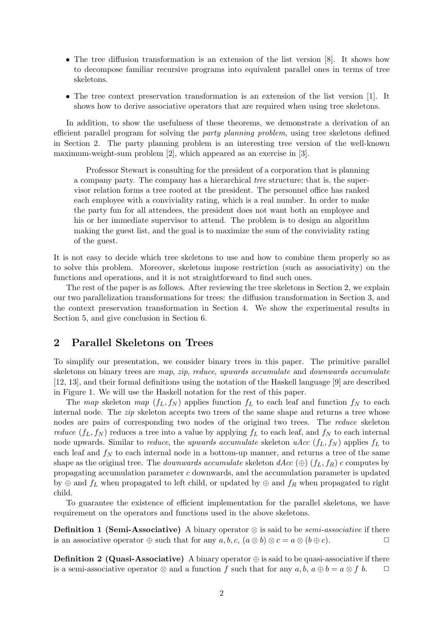- The tree diffusion transformation is an extension of the list version [8]. It shows how to decompose familiar recursive programs into equivalent parallel ones in terms of tree skeletons.
- The tree context preservation transformation is an extension of the list version [1]. It shows how to derive associative operators that are required when using tree skeletons.

In addition, to show the usefulness of these theorems, we demonstrate a derivation of an efficient parallel program for solving the party planning problem, using tree skeletons defined in Section 2. The party planning problem is an interesting tree version of the well-known maximum-weight-sum problem [2], which appeared as an exercise in [3].

Professor Stewart is consulting for the president of a corporation that is planning a company party. The company has a hierarchical tree structure; that is, the supervisor relation forms a tree rooted at the president. The personnel office has ranked each employee with a conviviality rating, which is a real number. In order to make the party fun for all attendees, the president does not want both an employee and his or her immediate supervisor to attend. The problem is to design an algorithm making the guest list, and the goal is to maximize the sum of the conviviality rating of the guest.

It is not easy to decide which tree skeletons to use and how to combine them properly so as to solve this problem. Moreover, skeletons impose restriction (such as associativity) on the functions and operations, and it is not straightforward to find such ones.

The rest of the paper is as follows. After reviewing the tree skeletons in Section 2, we explain our two parallelization transformations for trees: the diffusion transformation in Section 3, and the context preservation transformation in Section 4. We show the experimental results in Section 5, and give conclusion in Section 6.

### 2 Parallel Skeletons on Trees

To simplify our presentation, we consider binary trees in this paper. The primitive parallel skeletons on binary trees are map, zip, reduce, upwards accumulate and downwards accumulate [12, 13], and their formal definitions using the notation of the Haskell language [9] are described in Figure 1. We will use the Haskell notation for the rest of this paper.

The map skeleton map  $(f_L, f_N)$  applies function  $f_L$  to each leaf and function  $f_N$  to each internal node. The *zip* skeleton accepts two trees of the same shape and returns a tree whose nodes are pairs of corresponding two nodes of the original two trees. The reduce skeleton reduce  $(f_L, f_N)$  reduces a tree into a value by applying  $f_L$  to each leaf, and  $f_N$  to each internal node upwards. Similar to *reduce*, the upwards accumulate skeleton uAcc  $(f_L, f_N)$  applies  $f_L$  to each leaf and  $f_N$  to each internal node in a bottom-up manner, and returns a tree of the same shape as the original tree. The *downwards accumulate* skeleton  $dAcc \left(\oplus\right)$  ( $f_L, f_R$ ) c computes by propagating accumulation parameter c downwards, and the accumulation parameter is updated by  $\oplus$  and  $f_L$  when propagated to left child, or updated by  $\oplus$  and  $f_R$  when propagated to right child.

To guarantee the existence of efficient implementation for the parallel skeletons, we have requirement on the operators and functions used in the above skeletons.

**Definition 1 (Semi-Associative)** A binary operator  $\otimes$  is said to be *semi-associative* if there is an associative operator  $\oplus$  such that for any  $a, b, c, (a \otimes b) \otimes c = a \otimes (b \oplus c)$ .

**Definition 2 (Quasi-Associative)** A binary operator  $\oplus$  is said to be quasi-associative if there is a semi-associative operator  $\otimes$  and a function f such that for any  $a, b, a \oplus b = a \otimes f b$ .  $\Box$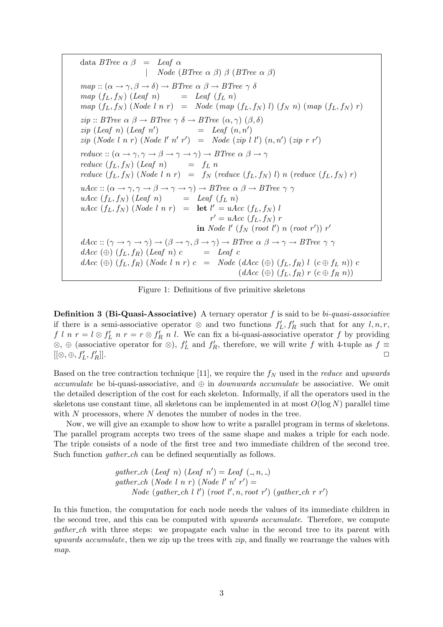data BTree  $\alpha \beta =$  Leaf  $\alpha$  $Node(BTree \alpha \beta) \beta (BTree \alpha \beta)$  $map :: (\alpha \rightarrow \gamma, \beta \rightarrow \delta) \rightarrow BTree \alpha \beta \rightarrow BTree \gamma \delta$  $map (f_L, f_N) (Leaf n)$  = Leaf  $(f_L n)$  $map (f_L, f_N) (Node l n r) = Node (map (f_L, f_N) l) (f_N n) (map (f_L, f_N) r)$  $zip :: BTree \alpha \beta \rightarrow BTree \gamma \delta \rightarrow BTree (\alpha, \gamma) (\beta, \delta)$  $zip (Leaf n) (Leaf n')$ )  $=$  Leaf  $(n, n')$  $zip (Node l n r) (Node l' n' r') = Node (zip l l') (n, n') (zip r r')$  $reduce :: (\alpha \rightarrow \gamma, \gamma \rightarrow \beta \rightarrow \gamma \rightarrow \gamma) \rightarrow BTree \ \alpha \ \beta \rightarrow \gamma$ reduce  $(f_L, f_N)$  (Leaf n) =  $f_L$  n reduce  $(f_L, f_N)$  (Node l n r) =  $f_N$  (reduce  $(f_L, f_N)$  l) n (reduce  $(f_L, f_N)$  r)  $uAcc :: (\alpha \rightarrow \gamma, \gamma \rightarrow \beta \rightarrow \gamma \rightarrow \gamma) \rightarrow BTree \alpha \beta \rightarrow BTree \gamma \gamma$  $uAcc (f_L, f_N) (Leaf n)$  = Leaf  $(f_L n)$  $uAcc (f_L, f_N) (Node l n r) = \text{let } l' = uAcc (f_L, f_N) l$  $r' = uAcc (f<sub>L</sub>, f<sub>N</sub>) r$ in Node  $l'$   $(f_N \; (root \; l') \; n \; (root \; r')) \; r'$  $dAcc :: (\gamma \rightarrow \gamma \rightarrow \gamma) \rightarrow (\beta \rightarrow \gamma, \beta \rightarrow \gamma) \rightarrow BTree \alpha \beta \rightarrow \gamma \rightarrow BTree \gamma \gamma$  $dAcc \(\oplus) (f_L, f_R) (Leaf \ n) c = Leaf \ c$ dAcc  $(\oplus)$   $(f_L, f_R)$  (Node l n r)  $c =$  Node (dAcc  $(\oplus)$   $(f_L, f_R)$  l  $(c \oplus f_L n)$ ) c  $(dAcc \oplus)$   $(f_L, f_R)$   $r$   $(c \oplus f_R n)$ 

Figure 1: Definitions of five primitive skeletons

**Definition 3 (Bi-Quasi-Associative)** A ternary operator  $f$  is said to be  $bi\text{-}quasi\text{-}associative$ if there is a semi-associative operator  $\otimes$  and two functions  $f'_{L}, f'_{R}$  such that for any  $l, n, r$ , f l n  $r = l \otimes f'_{L}$  n  $r = r \otimes f'_{R}$  n l. We can fix a bi-quasi-associative operator f by providing ⊗, ⊕ (associative operator for ⊗),  $f'_{L}$  and  $f'_{R}$ , therefore, we will write f with 4-tuple as  $f \equiv$  $[[\otimes, \oplus, f'_L, f'_L$  $\begin{bmatrix} \mathbf{r} \\ R \end{bmatrix}$ .

Based on the tree contraction technique [11], we require the  $f_N$  used in the *reduce* and upwards accumulate be bi-quasi-associative, and  $\oplus$  in *downwards accumulate* be associative. We omit the detailed description of the cost for each skeleton. Informally, if all the operators used in the skeletons use constant time, all skeletons can be implemented in at most  $O(\log N)$  parallel time with  $N$  processors, where  $N$  denotes the number of nodes in the tree.

Now, we will give an example to show how to write a parallel program in terms of skeletons. The parallel program accepts two trees of the same shape and makes a triple for each node. The triple consists of a node of the first tree and two immediate children of the second tree. Such function *gather\_ch* can be defined sequentially as follows.

$$
gather \textit{c.h } (Leaf\ n) \ (Leaf\ n') = Leaf\ (., n, .)
$$
\n
$$
gather \textit{c.h } (Node\ l\ n\ r) \ (Node\ l'\ n'\ r') =
$$
\n
$$
Node\ (gather \textit{c.h } l\ l') \ (root\ l', n, root\ r') \ (gather \textit{c.h } r\ r')
$$

In this function, the computation for each node needs the values of its immediate children in the second tree, and this can be computed with upwards accumulate. Therefore, we compute *gather ch* with three steps: we propagate each value in the second tree to its parent with upwards accumulate, then we zip up the trees with  $zip$ , and finally we rearrange the values with map.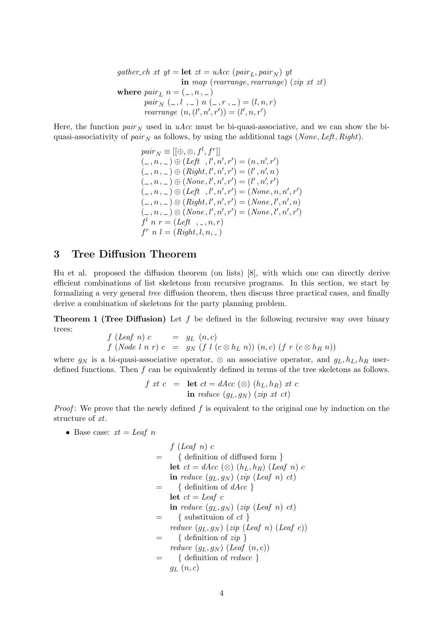gather ch xt yt = let  $zt = uAcc$  (pair<sub>L</sub>, pair<sub>N</sub>) yt in map (rearrange, rearrange) (zip xt zt) where  $pair_L$   $n = (0, n, 1)$ pair<sub>N</sub>  $(-,l, -) n (-,r, -) = (l, n, r)$ *rearrange*  $(n, (l', n', r')) = (l', n, r')$ 

Here, the function  $pair_{N}$  used in uAcc must be bi-quasi-associative, and we can show the biquasi-associativity of  $pair<sub>N</sub>$  as follows, by using the additional tags (None, Left, Right).

> $pair_N \equiv [[\oplus,\otimes,f^l,f^r]]$  $(-, n, ...) \oplus (Left, l', n', r') = (n, n', r')$  $(-, n, -) \oplus (Right, l', n', r') = (l', n', n)$  $(1, n, 1) \oplus (None, l', n', r') = (l', n', r')$  $(-, n, -) \otimes (Left, l', n', r') = (None, n, n', r')$  $(-, n, ...) \otimes (Right, l', n', r') = (None, l', n', n)$  $(0, n, \ldots) \otimes (None, l', n', r') = (None, l', n', r')$  $f^l$  n  $r = (Left, \ldots, n, r)$  $f^{r} n l = (Right, l, n, ...)$

# 3 Tree Diffusion Theorem

Hu et al. proposed the diffusion theorem (on lists) [8], with which one can directly derive efficient combinations of list skeletons from recursive programs. In this section, we start by formalizing a very general tree diffusion theorem, then discuss three practical cases, and finally derive a combination of skeletons for the party planning problem.

**Theorem 1 (Tree Diffusion)** Let  $f$  be defined in the following recursive way over binary trees:

$$
f (Leaf\ n) c = gL (n, c)
$$
  

$$
f (Node l n r) c = gN (f l (c \otimes hL n)) (n, c) (f r (c \otimes hR n))
$$

where  $g_N$  is a bi-quasi-associative operator, ⊗ an associative operator, and  $g_L, h_L, h_R$  userdefined functions. Then f can be equivalently defined in terms of the tree skeletons as follows.

$$
f \; xt \; c \quad = \quad \text{let} \; ct = dAcc \; (\otimes) \; (h_L, h_R) \; xt \; c
$$
\n
$$
\text{in} \; reduce \; (g_L, g_N) \; (zip \; xt \; ct)
$$

*Proof*: We prove that the newly defined  $f$  is equivalent to the original one by induction on the structure of xt.

• Base case:  $xt = Leaf$  n

$$
f (Leaf\ n) c
$$
\n
$$
= \begin{cases}\n\text{definition of diffused form } } \\ \text{let } ct = dAcc \ (\otimes) \ (h_L, h_R) \ (Leaf\ n) \ c \\
\text{in reduce } (g_L, g_N) \ (zip \ (Leaf\ n) \ ct) \\
\text{let } ct = leaf\ c \\
\text{int } reduce \ (g_L, g_N) \ (zip \ (Leaf\ n) \ ct) \\
\text{= } \{ \text{ substitution of } ct \} \\
reduce \ (g_L, g_N) \ (zip \ (Leaf\ n) \ (Leaf\ c)) \\
\text{= } \{ \text{ definition of } zip \} \\
reduce \ (g_L, g_N) \ (Leaf \ (n, c)) \\
\text{= } \{ \text{ definition of } reduce \} \\
g_L \ (n, c)\n\end{cases}
$$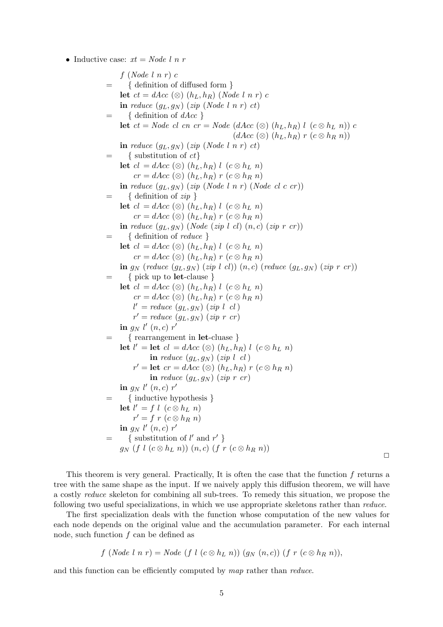• Inductive case:  $xt = Node l n r$ 

f (Node l n r) c = { definition of diffused form } let  $ct = dAcc$  (⊗)  $(h_L, h_R)$  (Node l n r) c in reduce  $(g_L, g_N)$  (zip (Node l n r) ct)  $= \{$  definition of  $dAcc \}$ let  $ct = Node \; cl \; cn \; cr = Node \; (dAcc \; (\otimes) \; (h_L, h_R) \; l \; (c \otimes h_L \; n)) \; c$  $(dAcc \otimes (h_L, h_R) r (c \otimes h_R n))$ in reduce  $(g_L, g_N)$  (zip (Node l n r) ct)  $=$  { substitution of  $ct$ } let  $cl = dAcc \otimes (h_L, h_R) l \; (c \otimes h_L n)$  $cr = dAcc \ (\otimes) \ (h_L, h_R) \ r \ (c \otimes h_R \ n)$ in reduce  $(g_L, g_N)$  (zip (Node l n r) (Node cl c cr))  $=$  { definition of  $zip$  } let  $cl = dAcc \otimes (h_L, h_R)$  l  $(c \otimes h_L n)$  $cr = dAcc \ (\otimes) \ (h_L, h_R) \ r \ (c \otimes h_R \ n)$ in reduce  $(g_L, g_N)$  (Node (zip l cl)  $(n, c)$  (zip r cr))  $=$  { definition of *reduce* } let  $cl = dAcc \otimes (h_L, h_R) l$   $(c \otimes h_L n)$  $cr = dAcc \ (\otimes) \ (h_L, h_R) \ r \ (c \otimes h_R \ n)$ in  $g_N$  (reduce  $(g_L, g_N)$  (zip l cl))  $(n, c)$  (reduce  $(g_L, g_N)$  (zip r cr)) = { pick up to let-clause } let  $cl = dAcc \otimes (h_L, h_R) l \; (c \otimes h_L \; n)$  $cr = dAcc \ (\otimes) \ (h_L, h_R) \ r \ (c \otimes h_R \ n)$  $l' = reduce (g_L, g_N) (zip l \text{ } cl)$  $r' = reduce (g_L, g_N) (zip r \space cr)$ in  $g_N$   $l'$   $(n, c)$   $r'$ = { rearrangement in let-cluase } let  $l' =$  let  $cl = dAcc \otimes (h_L, h_R) l \; (c \otimes h_L n)$ in reduce  $(g_L, g_N)$  (zip l cl)  $r' = \textbf{let } cr = dAcc \ (\otimes) \ (h_L, h_R) \ r \ (c \otimes h_R \ n)$ in reduce  $(g_L, g_N)$  (zip r cr) in  $g_N$   $l'$   $(n, c)$   $r'$ = { inductive hypothesis } let  $l' = f \, l \, (c \otimes h_L \, n)$  $r' = f r (c \otimes h_R n)$ in  $g_N$   $l'$   $(n, c)$   $r'$  $=$  { substitution of l' and r' }  $g_N$  (f l  $(c \otimes h_L n)$ )  $(n, c)$  (f r  $(c \otimes h_R n)$ )

 $\Box$ 

This theorem is very general. Practically, It is often the case that the function  $f$  returns a tree with the same shape as the input. If we naively apply this diffusion theorem, we will have a costly reduce skeleton for combining all sub-trees. To remedy this situation, we propose the following two useful specializations, in which we use appropriate skeletons rather than reduce.

The first specialization deals with the function whose computation of the new values for each node depends on the original value and the accumulation parameter. For each internal node, such function  $f$  can be defined as

$$
f (Node l n r) = Node (f l (c \otimes h_L n)) (g_N (n, c)) (f r (c \otimes h_R n)),
$$

and this function can be efficiently computed by map rather than reduce.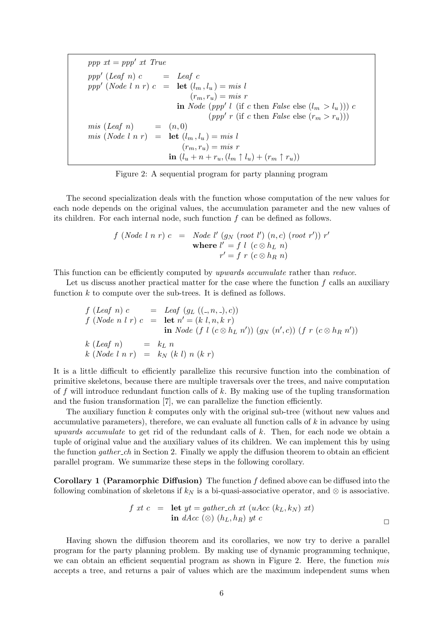$ppp$   $xt = ppp'$   $xt$   $True$ ppp' (Leaf n)  $c =$  Leaf  $c$ ppp' (Node l n r)  $c = \text{let } (l_m, l_u) = mis$  l  $(r_m, r_u) = mis r$ in Node (ppp' l (if c then False else  $(l_m > l_u))$ ) c (ppp' r (if c then False else  $(r_m > r_u))$ )  $mis (Leaf n)$  =  $(n, 0)$ mis (Node l n r) =  $\text{let } (l_m, l_u) = mis$  $(r_m, r_u) = mis r$ in  $(l_u + n + r_u, (l_m \uparrow l_u) + (r_m \uparrow r_u))$ 

Figure 2: A sequential program for party planning program

The second specialization deals with the function whose computation of the new values for each node depends on the original values, the accumulation parameter and the new values of its children. For each internal node, such function  $f$  can be defined as follows.

$$
f (Node l n r) c = Node l' (g_N (root l') (n, c) (root r')) r'
$$
  
**where**  $l' = f l (c \otimes h_L n)$   
 $r' = f r (c \otimes h_R n)$ 

This function can be efficiently computed by upwards accumulate rather than reduce.

Let us discuss another practical matter for the case where the function  $f$  calls an auxiliary function  $k$  to compute over the sub-trees. It is defined as follows.

$$
f (Leaf\ n) c = Leaf(g_L ((-, n, -, c))\n f (Node\ n l\ r) c = let n' = (k l, n, k\ r)\n in Node (f l (c \otimes h_L n')) (g_N (n', c)) (f r (c \otimes h_R n'))\n k (Leaf\ n) = kL n\n k (Node l\ n\ r) = kN (k l) n (k r)
$$

It is a little difficult to efficiently parallelize this recursive function into the combination of primitive skeletons, because there are multiple traversals over the trees, and naive computation of f will introduce redundant function calls of  $k$ . By making use of the tupling transformation and the fusion transformation [7], we can parallelize the function efficiently.

The auxiliary function  $k$  computes only with the original sub-tree (without new values and accumulative parameters), therefore, we can evaluate all function calls of  $k$  in advance by using upwards accumulate to get rid of the redundant calls of  $k$ . Then, for each node we obtain a tuple of original value and the auxiliary values of its children. We can implement this by using the function *gather-ch* in Section 2. Finally we apply the diffusion theorem to obtain an efficient parallel program. We summarize these steps in the following corollary.

**Corollary 1 (Paramorphic Diffusion)** The function  $f$  defined above can be diffused into the following combination of skeletons if  $k_N$  is a bi-quasi-associative operator, and ⊗ is associative.

$$
f \; xt \; c \quad = \quad \text{let } yt = gather\_ch \; xt \; (uAcc \; (k_L, k_N) \; xt) \\
 \text{in } dAcc \; (\otimes) \; (h_L, h_R) \; yt \; c
$$

Having shown the diffusion theorem and its corollaries, we now try to derive a parallel program for the party planning problem. By making use of dynamic programming technique, we can obtain an efficient sequential program as shown in Figure 2. Here, the function mis accepts a tree, and returns a pair of values which are the maximum independent sums when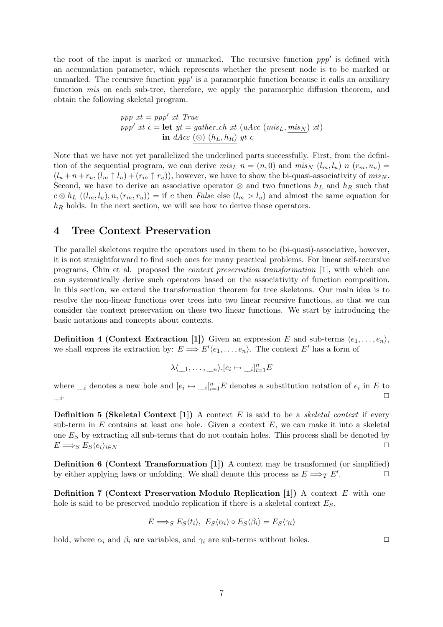the root of the input is <u>marked</u> or <u>unmarked</u>. The recursive function  $ppp'$  is defined with an accumulation parameter, which represents whether the present node is to be marked or unmarked. The recursive function  $ppp'$  is a paramorphic function because it calls an auxiliary function *mis* on each sub-tree, therefore, we apply the paramorphic diffusion theorem, and obtain the following skeletal program.

$$
ppp \; xt = ppp' \; xt \; True
$$
\n
$$
ppp' \; xt \; c = \text{let } yt = gather\_ch \; xt \; (uAcc \; (mis_L, mis_N) \; xt)
$$
\n
$$
\text{in } dAcc \; (\otimes) \; (h_L, h_R) \; yt \; c
$$

Note that we have not yet parallelized the underlined parts successfully. First, from the definition of the sequential program, we can derive  $mis_L$   $n = (n, 0)$  and  $mis_N$   $(l_m, l_u)$   $n$   $(r_m, u_u)$  $(l_u + n + r_u, (l_m \uparrow l_u) + (r_m \uparrow r_u))$ , however, we have to show the bi-quasi-associativity of mis<sub>N</sub>. Second, we have to derive an associative operator  $\otimes$  and two functions  $h_L$  and  $h_R$  such that  $c \otimes h_L ((l_m, l_u), n, (r_m, r_u)) = \text{if } c \text{ then } False \text{ else } (l_m > l_u) \text{ and almost the same equation for }$  $h_R$  holds. In the next section, we will see how to derive those operators.

### 4 Tree Context Preservation

The parallel skeletons require the operators used in them to be (bi-quasi)-associative, however, it is not straightforward to find such ones for many practical problems. For linear self-recursive programs, Chin et al. proposed the context preservation transformation [1], with which one can systematically derive such operators based on the associativity of function composition. In this section, we extend the transformation theorem for tree skeletons. Our main idea is to resolve the non-linear functions over trees into two linear recursive functions, so that we can consider the context preservation on these two linear functions. We start by introducing the basic notations and concepts about contexts.

**Definition 4 (Context Extraction [1])** Given an expression E and sub-terms  $\langle e_1, \ldots, e_n \rangle$ , we shall express its extraction by:  $E \Longrightarrow E'(e_1, \ldots, e_n)$ . The context E' has a form of

$$
\lambda \langle \underline{\hspace{0.3cm}}_1, \ldots, \underline{\hspace{0.3cm}}_n \rangle . [e_i \mapsto \underline{\hspace{0.3cm}}_i]_{i=1}^n E
$$

where  $_{i}$  denotes a new hole and  $[e_i \mapsto \underline{i}]_{i=1}^n E$  denotes a substitution notation of  $e_i$  in E to  $\frac{-i}{-i}$ . ✷

**Definition 5 (Skeletal Context [1])** A context E is said to be a *skeletal context* if every sub-term in  $E$  contains at least one hole. Given a context  $E$ , we can make it into a skeletal one  $E<sub>S</sub>$  by extracting all sub-terms that do not contain holes. This process shall be denoted by  $E \Longrightarrow_{S} E_{S}(e_{i})_{i \in N}$ 

Definition 6 (Context Transformation [1]) A context may be transformed (or simplified) by either applying laws or unfolding. We shall denote this process as  $E \Longrightarrow_T E'$ . .  $\Box$ 

**Definition 7 (Context Preservation Modulo Replication [1])** A context  $E$  with one hole is said to be preserved modulo replication if there is a skeletal context  $E<sub>S</sub>$ ,

$$
E \Longrightarrow_{S} E_{S} \langle t_{i} \rangle, E_{S} \langle \alpha_{i} \rangle \circ E_{S} \langle \beta_{i} \rangle = E_{S} \langle \gamma_{i} \rangle
$$

hold, where  $\alpha_i$  and  $\beta_i$  are variables, and  $\gamma_i$  are sub-terms without holes.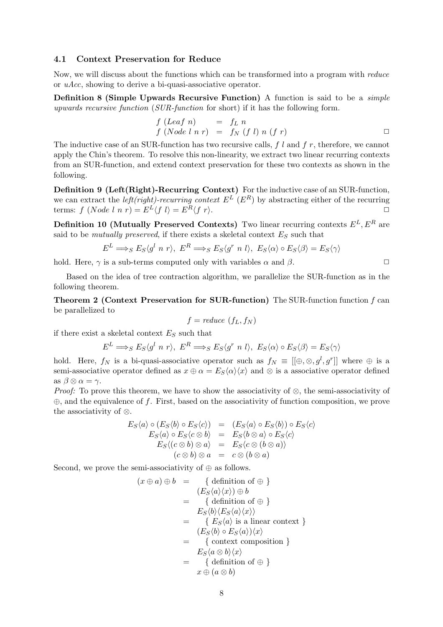#### 4.1 Context Preservation for Reduce

Now, we will discuss about the functions which can be transformed into a program with reduce or uAcc, showing to derive a bi-quasi-associative operator.

Definition 8 (Simple Upwards Recursive Function) A function is said to be a *simple* upwards recursive function (SUR-function for short) if it has the following form.

$$
f (Leaf n) = fL n\n f (Node l n r) = fN (f l) n (f r)
$$

The inductive case of an SUR-function has two recursive calls,  $f\ l$  and  $f\ r$ , therefore, we cannot apply the Chin's theorem. To resolve this non-linearity, we extract two linear recurring contexts from an SUR-function, and extend context preservation for these two contexts as shown in the following.

Definition 9 (Left(Right)-Recurring Context) For the inductive case of an SUR-function, we can extract the *left(right)-recurring context*  $E^L$  ( $E^R$ ) by abstracting either of the recurring terms:  $f (Node l n r) = E^{L'} \langle f l \rangle = E^{R} \langle f r \rangle.$ 

Definition 10 (Mutually Preserved Contexts) Two linear recurring contexts  $E^L, E^R$  are said to be mutually preserved, if there exists a skeletal context  $E<sub>S</sub>$  such that

$$
E^{L} \Longrightarrow_{S} E_{S} \langle g^{l} \ n \ r \rangle, \ E^{R} \Longrightarrow_{S} E_{S} \langle g^{r} \ n \ l \rangle, \ E_{S} \langle \alpha \rangle \circ E_{S} \langle \beta \rangle = E_{S} \langle \gamma \rangle
$$

hold. Here,  $\gamma$  is a sub-terms computed only with variables  $\alpha$  and  $\beta$ .

Based on the idea of tree contraction algorithm, we parallelize the SUR-function as in the following theorem.

Theorem 2 (Context Preservation for SUR-function) The SUR-function function f can be parallelized to

$$
f = reduce (f_L, f_N)
$$

if there exist a skeletal context  $E<sub>S</sub>$  such that

$$
E^{L} \Longrightarrow_{S} E_{S} \langle g^{l} \ n \ r \rangle, \ E^{R} \Longrightarrow_{S} E_{S} \langle g^{r} \ n \ l \rangle, \ E_{S} \langle \alpha \rangle \circ E_{S} \langle \beta \rangle = E_{S} \langle \gamma \rangle
$$

hold. Here,  $f_N$  is a bi-quasi-associative operator such as  $f_N \equiv [[\oplus,\otimes,g^l,g^r]]$  where  $\oplus$  is a semi-associative operator defined as  $x \oplus \alpha = E_s\langle \alpha \rangle \langle x \rangle$  and  $\otimes$  is a associative operator defined as  $\beta \otimes \alpha = \gamma$ .

*Proof:* To prove this theorem, we have to show the associativity of  $\otimes$ , the semi-associativity of  $\oplus$ , and the equivalence of f. First, based on the associativity of function composition, we prove the associativity of ⊗.

$$
E_S \langle a \rangle \circ (E_S \langle b \rangle \circ E_S \langle c \rangle) = (E_S \langle a \rangle \circ E_S \langle b \rangle) \circ E_S \langle c \rangle
$$
  
\n
$$
E_S \langle a \rangle \circ E_S \langle c \otimes b \rangle = E_S \langle b \otimes a \rangle \circ E_S \langle c \rangle
$$
  
\n
$$
E_S \langle (c \otimes b) \otimes a \rangle = E_S \langle c \otimes (b \otimes a) \rangle
$$
  
\n
$$
\langle c \otimes b \rangle \otimes a = c \otimes (b \otimes a)
$$

Second, we prove the semi-associativity of  $\oplus$  as follows.

$$
(x \oplus a) \oplus b = \{ \text{ definition of } \oplus \}
$$
  
\n
$$
= \{ E_S \langle a \rangle \langle x \rangle \} \oplus b
$$
  
\n
$$
= \{ \text{ definition of } \oplus \}
$$
  
\n
$$
= E_S \langle b \rangle \langle E_S \langle a \rangle \langle x \rangle \rangle
$$
  
\n
$$
= \{ E_S \langle a \rangle \text{ is a linear context } \}
$$
  
\n
$$
= \{ E_S \langle b \rangle \circ E_S \langle a \rangle \rangle \langle x \rangle
$$
  
\n
$$
= \{ \text{ context composition } \}
$$
  
\n
$$
= E_S \langle a \otimes b \rangle \langle x \rangle
$$
  
\n
$$
= \{ \text{definition of } \oplus \}
$$
  
\n
$$
x \oplus (a \otimes b)
$$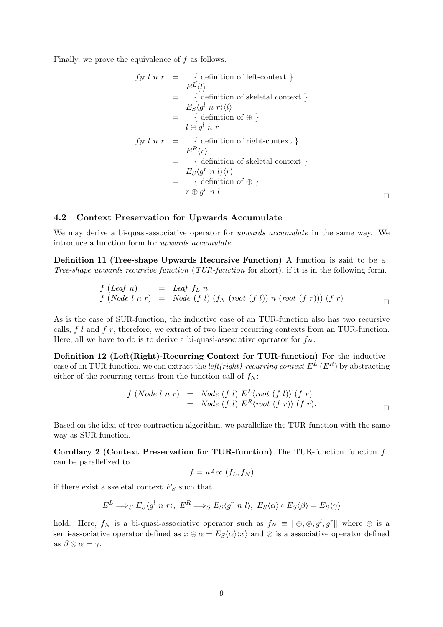Finally, we prove the equivalence of f as follows.

$$
f_N l n r = \begin{cases} \text{definition of left-context} \\ E^L \langle l \rangle \end{cases}
$$
  
=\begin{cases} \text{definition of skeletal context} \\ \text{f definition of the left-constant} \end{cases}  
=\begin{cases} \text{definition of } \oplus \end{cases}  
l \oplus g^l n r  

$$
f_N l n r = \begin{cases} \text{definition of right-context} \\ E^R \langle r \rangle \end{cases}=\begin{cases} \text{definition of skeletal context} \\ \text{f definition of skeletal context} \end{cases}=\begin{cases} \text{definition of the left-constant} \\ \text{definition of } \oplus \end{cases}r \oplus g^r n l \qquad \qquad \Box
$$

### 4.2 Context Preservation for Upwards Accumulate

We may derive a bi-quasi-associative operator for *upwards accumulate* in the same way. We introduce a function form for upwards accumulate.

Definition 11 (Tree-shape Upwards Recursive Function) A function is said to be a Tree-shape upwards recursive function (TUR-function for short), if it is in the following form.

$$
f (Leaf n) = leaf fL n\n f (Node l n r) = Node (f l) (fN (root (f l)) n (root (f r))) (f r)
$$

As is the case of SUR-function, the inductive case of an TUR-function also has two recursive calls,  $f \cdot l$  and  $f \cdot r$ , therefore, we extract of two linear recurring contexts from an TUR-function. Here, all we have to do is to derive a bi-quasi-associative operator for  $f_N$ .

Definition 12 (Left(Right)-Recurring Context for TUR-function) For the inductive case of an TUR-function, we can extract the *left(right)-recurring context*  $E^L(E^R)$  by abstracting either of the recurring terms from the function call of  $f_N$ :

$$
f (Node l n r) = Node (f l) EL (root (f l)) (f r)
$$
  
= Node (f l) E<sup>R</sup> (root (f r)) (f r).

Based on the idea of tree contraction algorithm, we parallelize the TUR-function with the same way as SUR-function.

Corollary 2 (Context Preservation for TUR-function) The TUR-function function f can be parallelized to

$$
f = uAcc (f_L, f_N)
$$

if there exist a skeletal context  $E<sub>S</sub>$  such that

$$
E^{L} \Longrightarrow_{S} E_{S} \langle g^{l} \ n \ r \rangle, \ E^{R} \Longrightarrow_{S} E_{S} \langle g^{r} \ n \ l \rangle, \ E_{S} \langle \alpha \rangle \circ E_{S} \langle \beta \rangle = E_{S} \langle \gamma \rangle
$$

hold. Here,  $f_N$  is a bi-quasi-associative operator such as  $f_N \equiv [[\oplus,\otimes,g^l,g^r]]$  where  $\oplus$  is a semi-associative operator defined as  $x \oplus \alpha = E_S\langle \alpha \rangle \langle x \rangle$  and ⊗ is a associative operator defined as  $\beta \otimes \alpha = \gamma$ .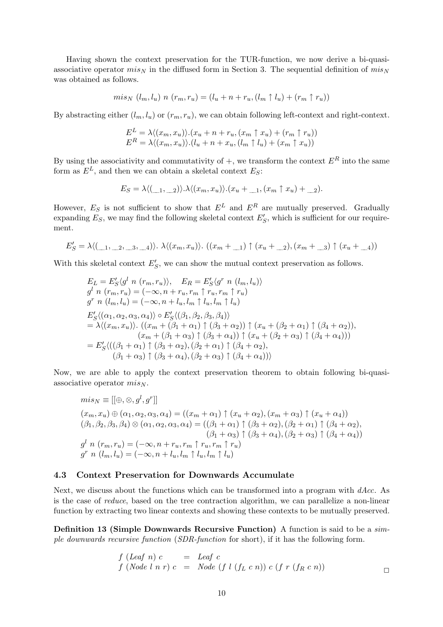Having shown the context preservation for the TUR-function, we now derive a bi-quasiassociative operator  $mis_N$  in the diffused form in Section 3. The sequential definition of  $mis_N$ was obtained as follows.

$$
mis_N(l_m, l_u) n(r_m, r_u) = (l_u + n + r_u, (l_m \uparrow l_u) + (r_m \uparrow r_u))
$$

By abstracting either  $(l_m, l_u)$  or  $(r_m, r_u)$ , we can obtain following left-context and right-context.

$$
E^{L} = \lambda \langle (x_m, x_u) \rangle \cdot (x_u + n + r_u, (x_m \uparrow x_u) + (r_m \uparrow r_u))
$$
  

$$
E^{R} = \lambda \langle (x_m, x_u) \rangle \cdot (l_u + n + x_u, (l_m \uparrow l_u) + (x_m \uparrow x_u))
$$

By using the associativity and commutativity of  $+$ , we transform the context  $E^R$  into the same form as  $E^L$ , and then we can obtain a skeletal context  $E_S$ :

$$
E_S = \lambda \langle (\underline{\hspace{1cm}}_1, \underline{\hspace{1cm}}_2) \rangle \cdot \lambda \langle (x_m, x_u) \rangle \cdot (x_u + \underline{\hspace{1cm}}_1, (x_m \uparrow x_u) + \underline{\hspace{1cm}}_2).
$$

However,  $E_S$  is not sufficient to show that  $E^L$  and  $E^R$  are mutually preserved. Gradually expanding  $E_S$ , we may find the following skeletal context  $E'_S$ , which is sufficient for our requirement.

$$
E'_{S} = \lambda \langle (\underline{\hspace{0.5cm}}_1, \underline{\hspace{0.5cm}}_2, \underline{\hspace{0.5cm}}_3, \underline{\hspace{0.5cm}}_4) \rangle. \lambda \langle (x_m, x_u) \rangle. \ ((x_m + \underline{\hspace{0.5cm}}_1) \uparrow (x_u + \underline{\hspace{0.5cm}}_2), (x_m + \underline{\hspace{0.5cm}}_3) \uparrow (x_u + \underline{\hspace{0.5cm}}_4))
$$

With this skeletal context  $E'_{S}$ , we can show the mutual context preservation as follows.

$$
E_L = E'_S \langle g^l \ n \ (r_m, r_u) \rangle, \quad E_R = E'_S \langle g^r \ n \ (l_m, l_u) \rangle
$$
  
\n
$$
g^l \ n \ (r_m, r_u) = (-\infty, n + r_u, r_m \uparrow r_u, r_m \uparrow r_u)
$$
  
\n
$$
g^r \ n \ (l_m, l_u) = (-\infty, n + l_u, l_m \uparrow l_u, l_m \uparrow l_u)
$$
  
\n
$$
E'_S \langle (\alpha_1, \alpha_2, \alpha_3, \alpha_4) \rangle \circ E'_S \langle (\beta_1, \beta_2, \beta_3, \beta_4) \rangle
$$
  
\n
$$
= \lambda \langle (x_m, x_u) \rangle. \ (x_m + (\beta_1 + \alpha_1) \uparrow (\beta_3 + \alpha_2)) \uparrow (x_u + (\beta_2 + \alpha_1) \uparrow (\beta_4 + \alpha_2)),
$$
  
\n
$$
(x_m + (\beta_1 + \alpha_3) \uparrow (\beta_3 + \alpha_4)) \uparrow (x_u + (\beta_2 + \alpha_3) \uparrow (\beta_4 + \alpha_4)))
$$
  
\n
$$
= E'_S \langle ((\beta_1 + \alpha_1) \uparrow (\beta_3 + \alpha_2), (\beta_2 + \alpha_1) \uparrow (\beta_4 + \alpha_2),
$$
  
\n
$$
(\beta_1 + \alpha_3) \uparrow (\beta_3 + \alpha_4), (\beta_2 + \alpha_3) \uparrow (\beta_4 + \alpha_4)) \rangle
$$

Now, we are able to apply the context preservation theorem to obtain following bi-quasiassociative operator  $mis_N$ .

$$
mis_N \equiv [[\oplus, \otimes, g^l, g^r]]
$$
  
\n
$$
(x_m, x_u) \oplus (\alpha_1, \alpha_2, \alpha_3, \alpha_4) = ((x_m + \alpha_1) \uparrow (x_u + \alpha_2), (x_m + \alpha_3) \uparrow (x_u + \alpha_4))
$$
  
\n
$$
(\beta_1, \beta_2, \beta_3, \beta_4) \otimes (\alpha_1, \alpha_2, \alpha_3, \alpha_4) = ((\beta_1 + \alpha_1) \uparrow (\beta_3 + \alpha_2), (\beta_2 + \alpha_1) \uparrow (\beta_4 + \alpha_2),
$$
  
\n
$$
(\beta_1 + \alpha_3) \uparrow (\beta_3 + \alpha_4), (\beta_2 + \alpha_3) \uparrow (\beta_4 + \alpha_4))
$$
  
\n
$$
g^l n (r_m, r_u) = (-\infty, n + r_u, r_m \uparrow r_u, r_m \uparrow r_u)
$$
  
\n
$$
g^r n (l_m, l_u) = (-\infty, n + l_u, l_m \uparrow l_u, l_m \uparrow l_u)
$$

#### 4.3 Context Preservation for Downwards Accumulate

Next, we discuss about the functions which can be transformed into a program with  $dAcc$ . As is the case of reduce, based on the tree contraction algorithm, we can parallelize a non-linear function by extracting two linear contexts and showing these contexts to be mutually preserved.

Definition 13 (Simple Downwards Recursive Function) A function is said to be a simple downwards recursive function (SDR-function for short), if it has the following form.

$$
f (Leaf n) c = Leaf c
$$
  
\n
$$
f (Node l n r) c = Node (f l (fL c n)) c (f r (fR c n))
$$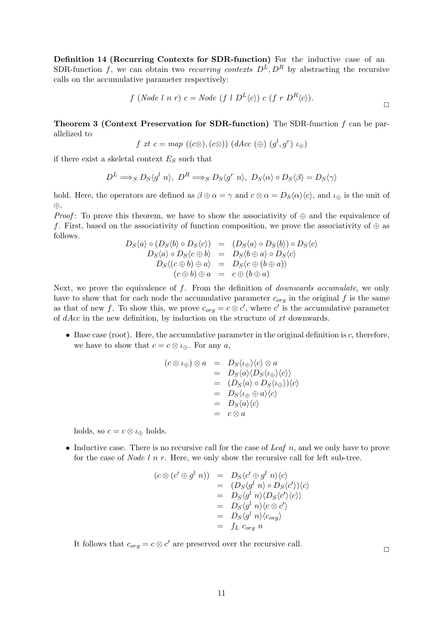Definition 14 (Recurring Contexts for SDR-function) For the inductive case of an SDR-function f, we can obtain two recurring contexts  $D^L, D^R$  by abstracting the recursive calls on the accumulative parameter respectively:

$$
f (Node l n r) c = Node (f l DL \langle c \rangle) c (f r DR \langle c \rangle).
$$

**Theorem 3 (Context Preservation for SDR-function)** The SDR-function  $f$  can be parallelized to

$$
f \; xt \; c = map \; ((c \otimes), (c \otimes)) \; (dAcc \; (\oplus) \; (g^l, g^r) \; \iota_{\oplus})
$$

if there exist a skeletal context  $E_S$  such that

$$
D^{L} \Longrightarrow_{S} D_{S} \langle g^{l} n \rangle, D^{R} \Longrightarrow_{S} D_{S} \langle g^{r} n \rangle, D_{S} \langle \alpha \rangle \circ D_{S} \langle \beta \rangle = D_{S} \langle \gamma \rangle
$$

hold. Here, the operators are defined as  $\beta \oplus \alpha = \gamma$  and  $c \otimes \alpha = D_s \langle \alpha \rangle \langle c \rangle$ , and  $\iota_{\oplus}$  is the unit of ⊕.

*Proof*: To prove this theorem, we have to show the associativity of  $\oplus$  and the equivalence of f. First, based on the associativity of function composition, we prove the associativity of  $\oplus$  as follows.

$$
D_S \langle a \rangle \circ (D_S \langle b \rangle \circ D_S \langle c \rangle) = (D_S \langle a \rangle \circ D_S \langle b \rangle) \circ D_S \langle c \rangle
$$
  
\n
$$
D_S \langle a \rangle \circ D_S \langle c \oplus b \rangle = D_S \langle b \oplus a \rangle \circ D_S \langle c \rangle
$$
  
\n
$$
D_S \langle (c \oplus b) \oplus a \rangle = D_S \langle c \oplus (b \oplus a) \rangle
$$
  
\n
$$
(c \oplus b) \oplus a = c \oplus (b \oplus a)
$$

Next, we prove the equivalence of  $f$ . From the definition of *downwards accumulate*, we only have to show that for each node the accumulative parameter  $c_{org}$  in the original f is the same as that of new f. To show this, we prove  $c_{org} = c \otimes c'$ , where c' is the accumulative parameter of dAcc in the new definition, by induction on the structure of xt downwards.

 $\bullet$  Base case (root). Here, the accumulative parameter in the original definition is  $c$ , therefore, we have to show that  $c = c \otimes \iota_{\oplus}$ . For any  $a$ ,

$$
(c \otimes \iota_{\oplus}) \otimes a = D_S \langle \iota_{\oplus} \rangle \langle c \rangle \otimes a
$$
  
=  $D_S \langle a \rangle \langle D_S \langle \iota_{\oplus} \rangle \langle c \rangle \rangle$   
=  $(D_S \langle a \rangle \circ D_S \langle \iota_{\oplus} \rangle) \langle c \rangle$   
=  $D_S \langle \iota_{\oplus} \oplus a \rangle \langle c \rangle$   
=  $D_S \langle a \rangle \langle c \rangle$   
=  $c \otimes a$ 

holds, so  $c = c \otimes \iota_{\oplus}$  holds.

• Inductive case. There is no recursive call for the case of Leaf  $n$ , and we only have to prove for the case of *Node l n r*. Here, we only show the recursive call for left sub-tree.

$$
(c \otimes (c' \oplus g^l \ n)) = D_S \langle c' \oplus g^l \ n \rangle \langle c \rangle
$$
  
= (D\_S \langle g^l \ n \rangle \circ D\_S \langle c' \rangle) \langle c \rangle  
= D\_S \langle g^l \ n \rangle \langle D\_S \langle c' \rangle \langle c \rangle  
= D\_S \langle g^l \ n \rangle \langle c \otimes c' \rangle  
= D\_S \langle g^l \ n \rangle \langle c\_{org} \rangle  
= f\_L c\_{org} n

It follows that  $c_{org} = c \otimes c'$  are preserved over the recursive call.

 $\Box$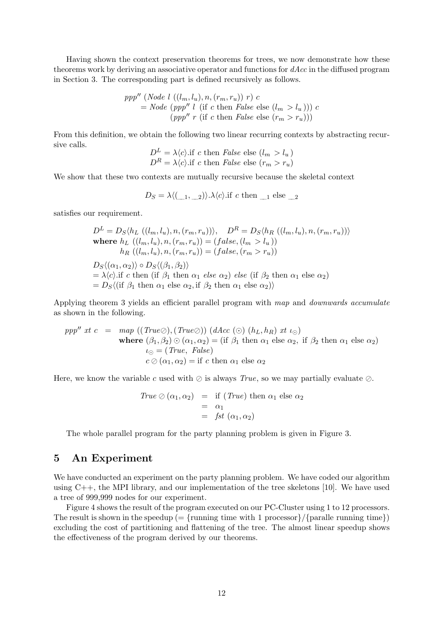Having shown the context preservation theorems for trees, we now demonstrate how these theorems work by deriving an associative operator and functions for dAcc in the diffused program in Section 3. The corresponding part is defined recursively as follows.

$$
ppp'' \ (Node \ l \ ((l_m, l_u), n, (r_m, r_u)) \ r) \ c
$$
  
= Node (ppp'' l (if c then False else  $(l_m > l_u))$ ) c  
(ppp'' r (if c then False else  $(r_m > r_u))$ )

From this definition, we obtain the following two linear recurring contexts by abstracting recursive calls.

$$
D^{L} = \lambda \langle c \rangle
$$
 if c then *False* else  $(l_m > l_u)$   

$$
D^{R} = \lambda \langle c \rangle
$$
 if c then *False* else  $(r_m > r_u)$ 

We show that these two contexts are mutually recursive because the skeletal context

$$
D_S = \lambda \langle (\underline{\hspace{0.2cm}}_1, \underline{\hspace{0.2cm}}_2) \rangle . \lambda \langle c \rangle .
$$
if *c* then  $\underline{\hspace{0.2cm}}_1$  else  $\underline{\hspace{0.2cm}}_2$ 

satisfies our requirement.

$$
D^{L} = D_{S} \langle h_{L} ((l_{m}, l_{u}), n, (r_{m}, r_{u})) \rangle, \quad D^{R} = D_{S} \langle h_{R} ((l_{m}, l_{u}), n, (r_{m}, r_{u})) \rangle
$$
  
where  $h_{L} ((l_{m}, l_{u}), n, (r_{m}, r_{u})) = (false, (l_{m} > l_{u}))$   
 $h_{R} ((l_{m}, l_{u}), n, (r_{m}, r_{u})) = (false, (r_{m} > r_{u}))$   
 $D_{S} \langle (\alpha_{1}, \alpha_{2}) \rangle \circ D_{S} \langle (\beta_{1}, \beta_{2}) \rangle$   
 $= \lambda \langle c \rangle$ .if *c* then (if  $\beta_{1}$  then  $\alpha_{1}$  else  $\alpha_{2}$ ) else (if  $\beta_{2}$  then  $\alpha_{1}$  else  $\alpha_{2}$ )  
 $= D_{S} \langle (\text{if } \beta_{1} \text{ then } \alpha_{1} \text{ else } \alpha_{2}, \text{if } \beta_{2} \text{ then } \alpha_{1} \text{ else } \alpha_{2}) \rangle$ 

Applying theorem 3 yields an efficient parallel program with map and *downwards accumulate* as shown in the following.

$$
ppp'' \; xt \; c \; = \; map \; ((True \oslash), (True \oslash)) \; (dAcc \; (\odot) \; (h_L, h_R) \; xt \; \iota_{\odot})
$$
\nwhere \; (\beta\_1, \beta\_2) \odot (\alpha\_1, \alpha\_2) = (if \; \beta\_1 \text{ then } \alpha\_1 \text{ else } \alpha\_2, \text{ if } \beta\_2 \text{ then } \alpha\_1 \text{ else } \alpha\_2)

\n
$$
c \oslash (\alpha_1, \alpha_2) = \text{if} \; c \text{ then } \alpha_1 \text{ else } \alpha_2
$$

Here, we know the variable c used with  $\oslash$  is always True, so we may partially evaluate  $\oslash$ .

$$
True \oslash (\alpha_1, \alpha_2) = \text{if } (True) \text{ then } \alpha_1 \text{ else } \alpha_2
$$
  
=  $\alpha_1$   
=  $fst (\alpha_1, \alpha_2)$ 

The whole parallel program for the party planning problem is given in Figure 3.

### 5 An Experiment

We have conducted an experiment on the party planning problem. We have coded our algorithm using C++, the MPI library, and our implementation of the tree skeletons [10]. We have used a tree of 999,999 nodes for our experiment.

Figure 4 shows the result of the program executed on our PC-Cluster using 1 to 12 processors. The result is shown in the speedup ( $=$  {running time with 1 processor}/{paralle running time}} excluding the cost of partitioning and flattening of the tree. The almost linear speedup shows the effectiveness of the program derived by our theorems.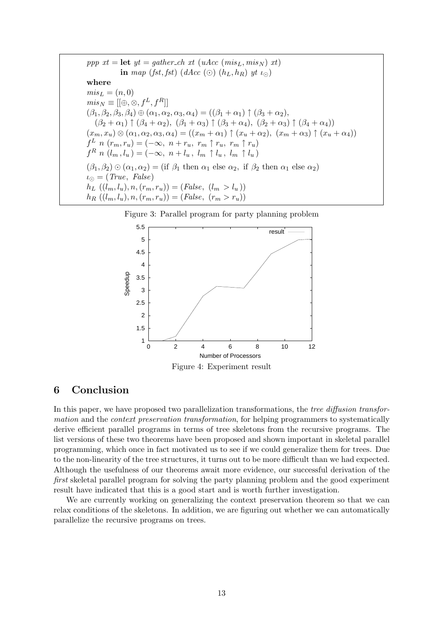ppp  $xt = \text{let } yt = gather\_ch xt \ (uAcc \ (mis_L, mis_N) \ xt)$ in map (fst, fst) (dAcc (⊙)  $(h_L, h_R)$  yt  $\iota_{\odot}$ ) where  $mis_L = (n, 0)$  $mis_N \equiv [ [\overset{\cdot}{\oplus}, \overset{\cdot}{\otimes}, f^L, f^R]]$  $(\beta_1, \beta_2, \beta_3, \beta_4) \oplus (\alpha_1, \alpha_2, \alpha_3, \alpha_4) = ((\beta_1 + \alpha_1) \uparrow (\beta_3 + \alpha_2),$  $(\beta_2 + \alpha_1) \uparrow (\beta_4 + \alpha_2), (\beta_1 + \alpha_3) \uparrow (\beta_3 + \alpha_4), (\beta_2 + \alpha_3) \uparrow (\beta_4 + \alpha_4))$  $(x_m, x_u) \otimes (\alpha_1, \alpha_2, \alpha_3, \alpha_4) = ((x_m + \alpha_1) \uparrow (x_u + \alpha_2), (x_m + \alpha_3) \uparrow (x_u + \alpha_4))$  $f^L$  n  $(r_m, r_u) = (-\infty, n + r_u, r_m \uparrow r_u, r_m \uparrow r_u)$  $f^R n (l_m, l_u) = (-\infty, n + l_u, l_m \uparrow l_u, l_m \uparrow l_u)$  $(\beta_1, \beta_2) \odot (\alpha_1, \alpha_2) = (\text{if } \beta_1 \text{ then } \alpha_1 \text{ else } \alpha_2, \text{ if } \beta_2 \text{ then } \alpha_1 \text{ else } \alpha_2)$  $\iota_{\odot} = (True, False)$  $h_L ((l_m, l_u), n, (r_m, r_u)) = (False, (l_m > l_u))$  $h_R((l_m, l_u), n, (r_m, r_u)) = (False, (r_m > r_u))$ 





## 6 Conclusion

In this paper, we have proposed two parallelization transformations, the tree diffusion transformation and the context preservation transformation, for helping programmers to systematically derive efficient parallel programs in terms of tree skeletons from the recursive programs. The list versions of these two theorems have been proposed and shown important in skeletal parallel programming, which once in fact motivated us to see if we could generalize them for trees. Due to the non-linearity of the tree structures, it turns out to be more difficult than we had expected. Although the usefulness of our theorems await more evidence, our successful derivation of the first skeletal parallel program for solving the party planning problem and the good experiment result have indicated that this is a good start and is worth further investigation.

We are currently working on generalizing the context preservation theorem so that we can relax conditions of the skeletons. In addition, we are figuring out whether we can automatically parallelize the recursive programs on trees.